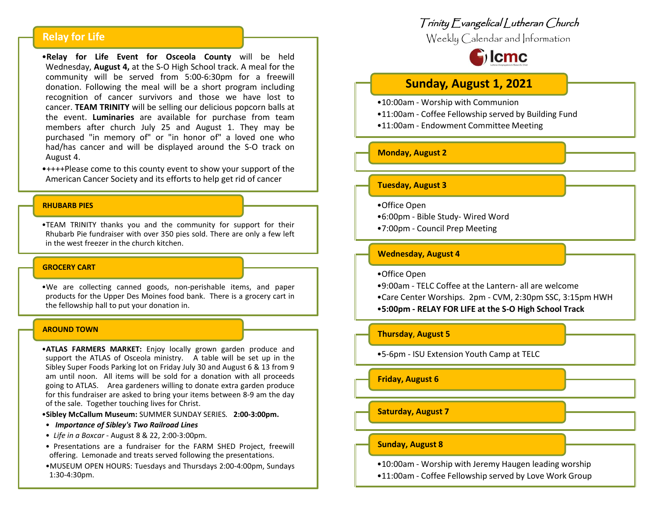# **Relay for Life**

•**Relay for Life Event for Osceola County** will be held Wednesday, **August 4,** at the S-O High School track. A meal for the community will be served from 5:00-6:30pm for a freewill donation. Following the meal will be a short program including recognition of cancer survivors and those we have lost to cancer. **TEAM TRINITY** will be selling our delicious popcorn balls at the event. **Luminaries** are available for purchase from team members after church July 25 and August 1. They may be purchased "in memory of" or "in honor of" a loved one who had/has cancer and will be displayed around the S-O track on August 4.

•++++Please come to this county event to show your support of the American Cancer Society and its efforts to help get rid of cancer

### **RHUBARB PIES**

•TEAM TRINITY thanks you and the community for support for their Rhubarb Pie fundraiser with over 350 pies sold. There are only a few left in the west freezer in the church kitchen.

### **GROCERY CART**

•We are collecting canned goods, non-perishable items, and paper products for the Upper Des Moines food bank. There is a grocery cart in the fellowship hall to put your donation in.

#### **AROUND TOWN**

•**ATLAS FARMERS MARKET:** Enjoy locally grown garden produce and support the ATLAS of Osceola ministry. A table will be set up in the Sibley Super Foods Parking lot on Friday July 30 and August 6 & 13 from 9 am until noon. All items will be sold for a donation with all proceeds going to ATLAS. Area gardeners willing to donate extra garden produce for this fundraiser are asked to bring your items between 8-9 am the day of the sale. Together touching lives for Christ.

•**Sibley McCallum Museum:** SUMMER SUNDAY SERIES*.* **2:00-3:00pm.**

- *Importance of Sibley's Two Railroad Lines*
- *Life in a Boxcar* August 8 & 22, 2:00-3:00pm.
- Presentations are a fundraiser for the FARM SHED Project, freewill offering. Lemonade and treats served following the presentations.
- •MUSEUM OPEN HOURS: Tuesdays and Thursdays 2:00-4:00pm, Sundays 1:30-4:30pm.

# Trinity Evangelical Lutheran Church

Weekly Calendar and Information



# **Sunday, August 1, 2021**

- •10:00am Worship with Communion
- •11:00am Coffee Fellowship served by Building Fund
- •11:00am Endowment Committee Meeting

### **Monday, August 2**

### **Tuesday, August 3**

- •Office Open
- •6:00pm Bible Study- Wired Word
- •7:00pm Council Prep Meeting

### **Wednesday, August 4**

- •Office Open
- •9:00am TELC Coffee at the Lantern- all are welcome
- •Care Center Worships. 2pm CVM, 2:30pm SSC, 3:15pm HWH
- •**5:00pm - RELAY FOR LIFE at the S-O High School Track**

### **Thursday**, **August 5**

•5-6pm - ISU Extension Youth Camp at TELC

**Friday, August 6**

**Saturday, August 7**

# **Sunday, August 8**

•10:00am - Worship with Jeremy Haugen leading worship

•11:00am - Coffee Fellowship served by Love Work Group